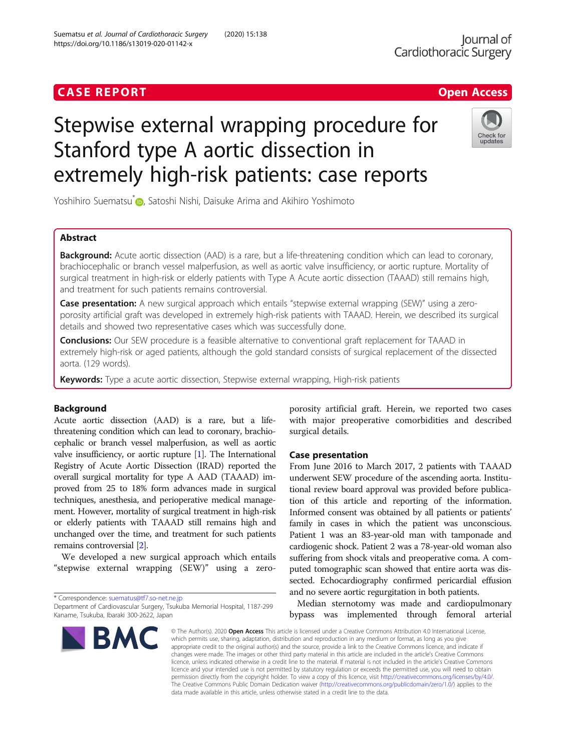## **CASE REPORT CASE ACCESS**

# Stepwise external wrapping procedure for Stanford type A aortic dissection in extremely high-risk patients: case reports

Yoshihiro Suematsu<sup>[\\*](http://orcid.org/0000-0002-3229-5929)</sup> , Satoshi Nishi, Daisuke Arima and Akihiro Yoshimoto

## Abstract

**Background:** Acute aortic dissection (AAD) is a rare, but a life-threatening condition which can lead to coronary, brachiocephalic or branch vessel malperfusion, as well as aortic valve insufficiency, or aortic rupture. Mortality of surgical treatment in high-risk or elderly patients with Type A Acute aortic dissection (TAAAD) still remains high, and treatment for such patients remains controversial.

Case presentation: A new surgical approach which entails "stepwise external wrapping (SEW)" using a zeroporosity artificial graft was developed in extremely high-risk patients with TAAAD. Herein, we described its surgical details and showed two representative cases which was successfully done.

Conclusions: Our SEW procedure is a feasible alternative to conventional graft replacement for TAAAD in extremely high-risk or aged patients, although the gold standard consists of surgical replacement of the dissected aorta. (129 words).

Keywords: Type a acute aortic dissection, Stepwise external wrapping, High-risk patients

### Background

Acute aortic dissection (AAD) is a rare, but a lifethreatening condition which can lead to coronary, brachiocephalic or branch vessel malperfusion, as well as aortic valve insufficiency, or aortic rupture [\[1](#page-2-0)]. The International Registry of Acute Aortic Dissection (IRAD) reported the overall surgical mortality for type A AAD (TAAAD) improved from 25 to 18% form advances made in surgical techniques, anesthesia, and perioperative medical management. However, mortality of surgical treatment in high-risk or elderly patients with TAAAD still remains high and unchanged over the time, and treatment for such patients remains controversial [\[2](#page-2-0)].

We developed a new surgical approach which entails "stepwise external wrapping (SEW)" using a zero-

\* Correspondence: [suematus@tf7.so-net.ne.jp](mailto:suematus@tf7.so-net.ne.jp)

BMC

porosity artificial graft. Herein, we reported two cases with major preoperative comorbidities and described surgical details.

## Case presentation

From June 2016 to March 2017, 2 patients with TAAAD underwent SEW procedure of the ascending aorta. Institutional review board approval was provided before publication of this article and reporting of the information. Informed consent was obtained by all patients or patients' family in cases in which the patient was unconscious. Patient 1 was an 83-year-old man with tamponade and cardiogenic shock. Patient 2 was a 78-year-old woman also suffering from shock vitals and preoperative coma. A computed tomographic scan showed that entire aorta was dissected. Echocardiography confirmed pericardial effusion and no severe aortic regurgitation in both patients.

Median sternotomy was made and cardiopulmonary bypass was implemented through femoral arterial

© The Author(s), 2020 **Open Access** This article is licensed under a Creative Commons Attribution 4.0 International License, which permits use, sharing, adaptation, distribution and reproduction in any medium or format, as long as you give appropriate credit to the original author(s) and the source, provide a link to the Creative Commons licence, and indicate if changes were made. The images or other third party material in this article are included in the article's Creative Commons licence, unless indicated otherwise in a credit line to the material. If material is not included in the article's Creative Commons licence and your intended use is not permitted by statutory regulation or exceeds the permitted use, you will need to obtain permission directly from the copyright holder. To view a copy of this licence, visit [http://creativecommons.org/licenses/by/4.0/.](http://creativecommons.org/licenses/by/4.0/) The Creative Commons Public Domain Dedication waiver [\(http://creativecommons.org/publicdomain/zero/1.0/](http://creativecommons.org/publicdomain/zero/1.0/)) applies to the data made available in this article, unless otherwise stated in a credit line to the data.







Department of Cardiovascular Surgery, Tsukuba Memorial Hospital, 1187-299 Kaname, Tsukuba, Ibaraki 300-2622, Japan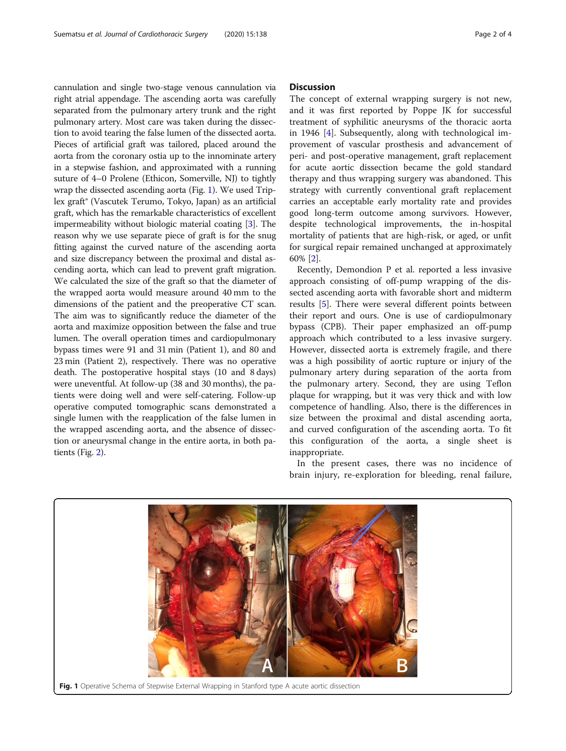cannulation and single two-stage venous cannulation via right atrial appendage. The ascending aorta was carefully separated from the pulmonary artery trunk and the right pulmonary artery. Most care was taken during the dissection to avoid tearing the false lumen of the dissected aorta. Pieces of artificial graft was tailored, placed around the aorta from the coronary ostia up to the innominate artery in a stepwise fashion, and approximated with a running suture of 4–0 Prolene (Ethicon, Somerville, NJ) to tightly wrap the dissected ascending aorta (Fig. 1). We used Triplex graft® (Vascutek Terumo, Tokyo, Japan) as an artificial graft, which has the remarkable characteristics of excellent impermeability without biologic material coating [\[3\]](#page-2-0). The reason why we use separate piece of graft is for the snug fitting against the curved nature of the ascending aorta and size discrepancy between the proximal and distal ascending aorta, which can lead to prevent graft migration. We calculated the size of the graft so that the diameter of the wrapped aorta would measure around 40 mm to the dimensions of the patient and the preoperative CT scan. The aim was to significantly reduce the diameter of the aorta and maximize opposition between the false and true lumen. The overall operation times and cardiopulmonary bypass times were 91 and 31 min (Patient 1), and 80 and 23 min (Patient 2), respectively. There was no operative death. The postoperative hospital stays (10 and 8 days) were uneventful. At follow-up (38 and 30 months), the patients were doing well and were self-catering. Follow-up operative computed tomographic scans demonstrated a single lumen with the reapplication of the false lumen in the wrapped ascending aorta, and the absence of dissection or aneurysmal change in the entire aorta, in both patients (Fig. [2](#page-2-0)).

#### **Discussion**

The concept of external wrapping surgery is not new, and it was first reported by Poppe JK for successful treatment of syphilitic aneurysms of the thoracic aorta in 1946 [[4](#page-2-0)]. Subsequently, along with technological improvement of vascular prosthesis and advancement of peri- and post-operative management, graft replacement for acute aortic dissection became the gold standard therapy and thus wrapping surgery was abandoned. This strategy with currently conventional graft replacement carries an acceptable early mortality rate and provides good long-term outcome among survivors. However, despite technological improvements, the in-hospital mortality of patients that are high-risk, or aged, or unfit for surgical repair remained unchanged at approximately 60% [[2](#page-2-0)].

Recently, Demondion P et al. reported a less invasive approach consisting of off-pump wrapping of the dissected ascending aorta with favorable short and midterm results [[5\]](#page-3-0). There were several different points between their report and ours. One is use of cardiopulmonary bypass (CPB). Their paper emphasized an off-pump approach which contributed to a less invasive surgery. However, dissected aorta is extremely fragile, and there was a high possibility of aortic rupture or injury of the pulmonary artery during separation of the aorta from the pulmonary artery. Second, they are using Teflon plaque for wrapping, but it was very thick and with low competence of handling. Also, there is the differences in size between the proximal and distal ascending aorta, and curved configuration of the ascending aorta. To fit this configuration of the aorta, a single sheet is inappropriate.

In the present cases, there was no incidence of brain injury, re-exploration for bleeding, renal failure,

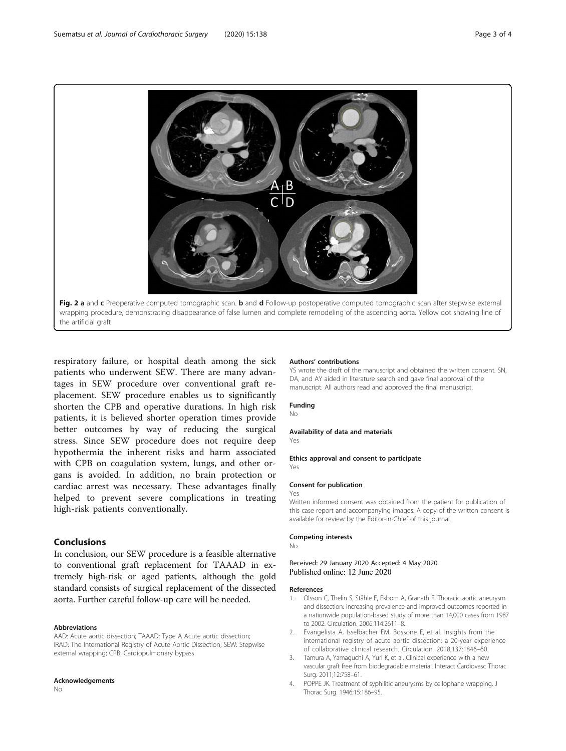<span id="page-2-0"></span>

respiratory failure, or hospital death among the sick patients who underwent SEW. There are many advantages in SEW procedure over conventional graft replacement. SEW procedure enables us to significantly shorten the CPB and operative durations. In high risk patients, it is believed shorter operation times provide better outcomes by way of reducing the surgical stress. Since SEW procedure does not require deep hypothermia the inherent risks and harm associated with CPB on coagulation system, lungs, and other organs is avoided. In addition, no brain protection or cardiac arrest was necessary. These advantages finally helped to prevent severe complications in treating high-risk patients conventionally.

## Conclusions

In conclusion, our SEW procedure is a feasible alternative to conventional graft replacement for TAAAD in extremely high-risk or aged patients, although the gold standard consists of surgical replacement of the dissected aorta. Further careful follow-up care will be needed.

#### Abbreviations

AAD: Acute aortic dissection; TAAAD: Type A Acute aortic dissection; IRAD: The International Registry of Acute Aortic Dissection; SEW: Stepwise external wrapping; CPB: Cardiopulmonary bypass

#### Acknowledgements

No

#### Authors' contributions

YS wrote the draft of the manuscript and obtained the written consent. SN, DA, and AY aided in literature search and gave final approval of the manuscript. All authors read and approved the final manuscript.

#### Funding

No

#### Availability of data and materials

Yes

Ethics approval and consent to participate Yes

#### Consent for publication

Written informed consent was obtained from the patient for publication of this case report and accompanying images. A copy of the written consent is available for review by the Editor-in-Chief of this journal.

#### Competing interests

No

Yes

#### Received: 29 January 2020 Accepted: 4 May 2020 Published online: 12 June 2020

#### References

- 1. Olsson C, Thelin S, Ståhle E, Ekbom A, Granath F. Thoracic aortic aneurysm and dissection: increasing prevalence and improved outcomes reported in a nationwide population-based study of more than 14,000 cases from 1987 to 2002. Circulation. 2006;114:2611–8.
- 2. Evangelista A, Isselbacher EM, Bossone E, et al. Insights from the international registry of acute aortic dissection: a 20-year experience of collaborative clinical research. Circulation. 2018;137:1846–60.
- 3. Tamura A, Yamaguchi A, Yuri K, et al. Clinical experience with a new vascular graft free from biodegradable material. Interact Cardiovasc Thorac Surg. 2011;12:758–61.
- 4. POPPE JK. Treatment of syphilitic aneurysms by cellophane wrapping. J Thorac Surg. 1946;15:186–95.